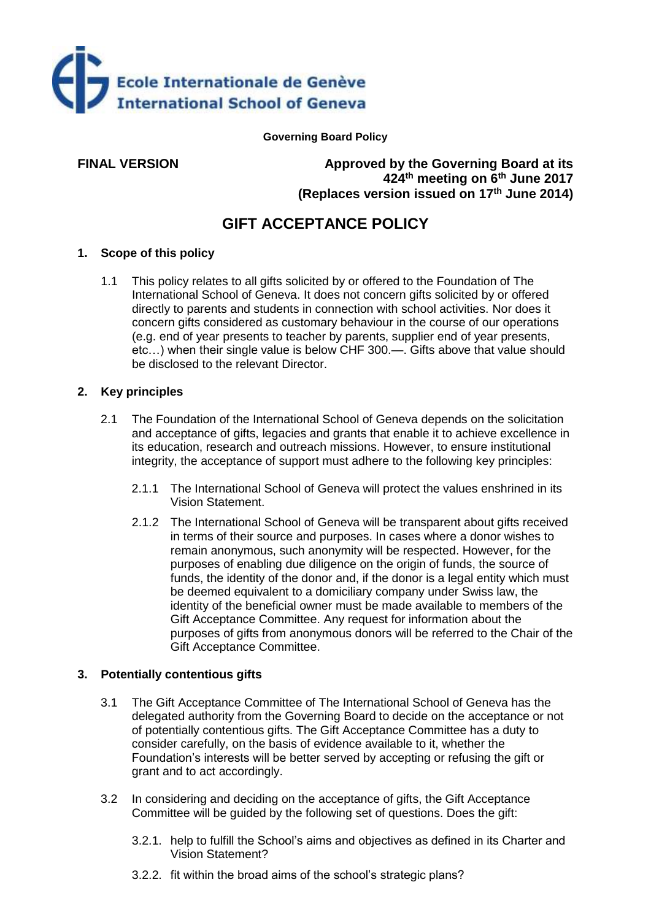

**Governing Board Policy**

**FINAL VERSION Approved by the Governing Board at its 424th meeting on 6th June 2017 (Replaces version issued on 17th June 2014)**

# **GIFT ACCEPTANCE POLICY**

### **1. Scope of this policy**

1.1 This policy relates to all gifts solicited by or offered to the Foundation of The International School of Geneva. It does not concern gifts solicited by or offered directly to parents and students in connection with school activities. Nor does it concern gifts considered as customary behaviour in the course of our operations (e.g. end of year presents to teacher by parents, supplier end of year presents, etc…) when their single value is below CHF 300.—. Gifts above that value should be disclosed to the relevant Director.

#### **2. Key principles**

- 2.1 The Foundation of the International School of Geneva depends on the solicitation and acceptance of gifts, legacies and grants that enable it to achieve excellence in its education, research and outreach missions. However, to ensure institutional integrity, the acceptance of support must adhere to the following key principles:
	- 2.1.1 The International School of Geneva will protect the values enshrined in its Vision Statement.
	- 2.1.2 The International School of Geneva will be transparent about gifts received in terms of their source and purposes. In cases where a donor wishes to remain anonymous, such anonymity will be respected. However, for the purposes of enabling due diligence on the origin of funds, the source of funds, the identity of the donor and, if the donor is a legal entity which must be deemed equivalent to a domiciliary company under Swiss law, the identity of the beneficial owner must be made available to members of the Gift Acceptance Committee. Any request for information about the purposes of gifts from anonymous donors will be referred to the Chair of the Gift Acceptance Committee.

#### **3. Potentially contentious gifts**

- 3.1 The Gift Acceptance Committee of The International School of Geneva has the delegated authority from the Governing Board to decide on the acceptance or not of potentially contentious gifts. The Gift Acceptance Committee has a duty to consider carefully, on the basis of evidence available to it, whether the Foundation's interests will be better served by accepting or refusing the gift or grant and to act accordingly.
- 3.2 In considering and deciding on the acceptance of gifts, the Gift Acceptance Committee will be guided by the following set of questions. Does the gift:
	- 3.2.1. help to fulfill the School's aims and objectives as defined in its Charter and Vision Statement?
	- 3.2.2. fit within the broad aims of the school's strategic plans?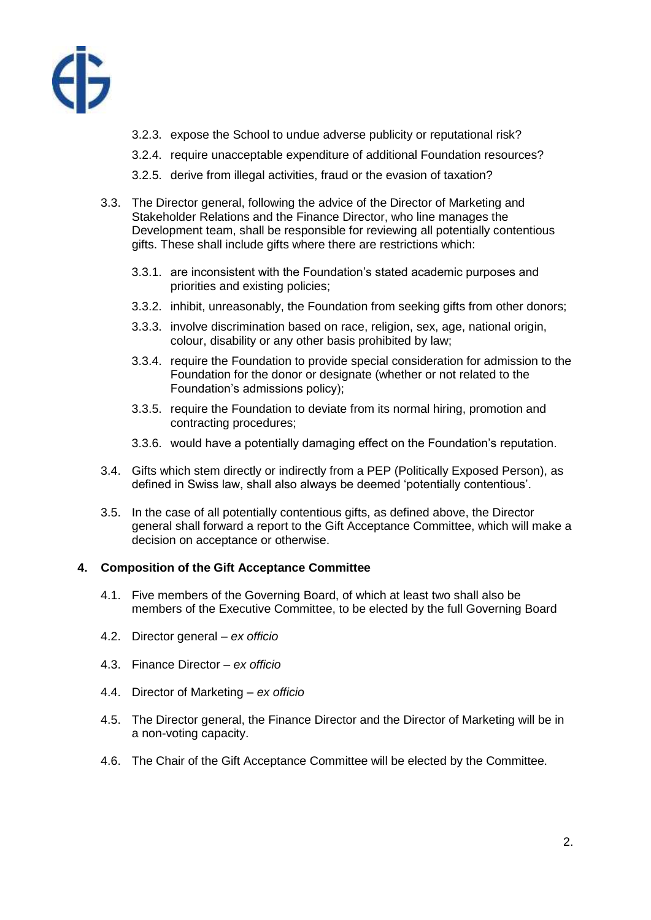

- 3.2.3. expose the School to undue adverse publicity or reputational risk?
- 3.2.4. require unacceptable expenditure of additional Foundation resources?
- 3.2.5. derive from illegal activities, fraud or the evasion of taxation?
- 3.3. The Director general, following the advice of the Director of Marketing and Stakeholder Relations and the Finance Director, who line manages the Development team, shall be responsible for reviewing all potentially contentious gifts. These shall include gifts where there are restrictions which:
	- 3.3.1. are inconsistent with the Foundation's stated academic purposes and priorities and existing policies;
	- 3.3.2. inhibit, unreasonably, the Foundation from seeking gifts from other donors;
	- 3.3.3. involve discrimination based on race, religion, sex, age, national origin, colour, disability or any other basis prohibited by law;
	- 3.3.4. require the Foundation to provide special consideration for admission to the Foundation for the donor or designate (whether or not related to the Foundation's admissions policy);
	- 3.3.5. require the Foundation to deviate from its normal hiring, promotion and contracting procedures;
	- 3.3.6. would have a potentially damaging effect on the Foundation's reputation.
- 3.4. Gifts which stem directly or indirectly from a PEP (Politically Exposed Person), as defined in Swiss law, shall also always be deemed 'potentially contentious'.
- 3.5. In the case of all potentially contentious gifts, as defined above, the Director general shall forward a report to the Gift Acceptance Committee, which will make a decision on acceptance or otherwise.

#### **4. Composition of the Gift Acceptance Committee**

- 4.1. Five members of the Governing Board, of which at least two shall also be members of the Executive Committee, to be elected by the full Governing Board
- 4.2. Director general *ex officio*
- 4.3. Finance Director *ex officio*
- 4.4. Director of Marketing *ex officio*
- 4.5. The Director general, the Finance Director and the Director of Marketing will be in a non-voting capacity.
- 4.6. The Chair of the Gift Acceptance Committee will be elected by the Committee.